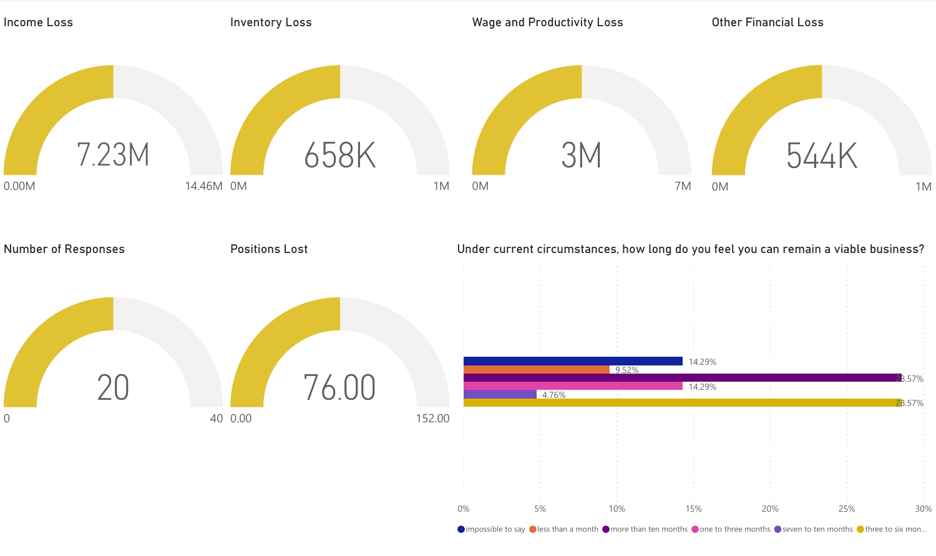